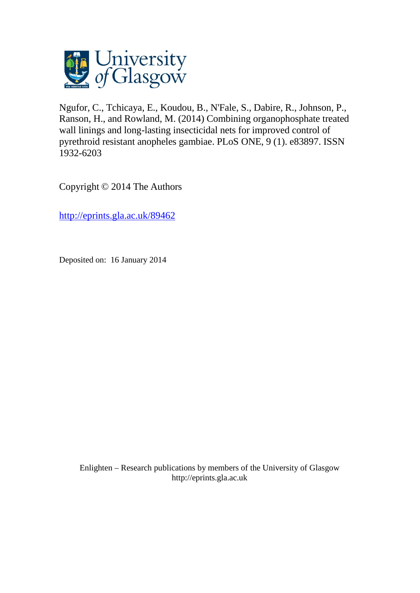

Ngufor, C., Tchicaya, E., Koudou, B., N'Fale, S., Dabire, R., [Johnson, P.,](http://eprints.gla.ac.uk/view/author/10389.html) Ranson, H., and Rowland, M. (2014) Combining organophosphate treated wall linings and long-lasting insecticidal nets for improved control of pyrethroid resistant anopheles gambiae. [PLoS ONE,](http://eprints.gla.ac.uk/view/journal_volume/PLoS_ONE.html) 9 (1). e83897. ISSN 1932-6203

Copyright © 2014 The Authors

<http://eprints.gla.ac.uk/89462>

Deposited on: 16 January 2014

Enlighten – Research publications by members of the University of Glasgo[w](http://eprints.gla.ac.uk/) [http://eprints.gla.ac.uk](http://eprints.gla.ac.uk/)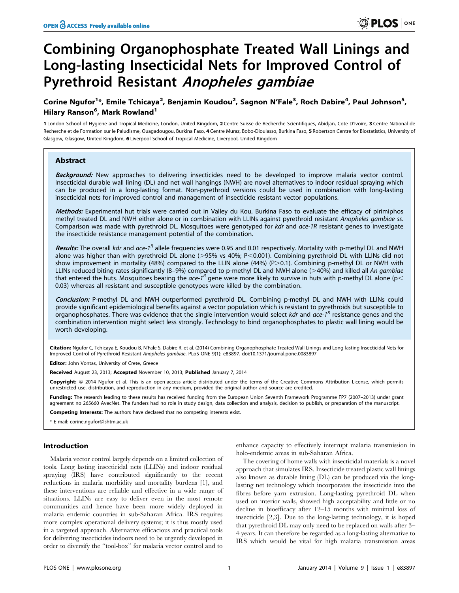# Combining Organophosphate Treated Wall Linings and Long-lasting Insecticidal Nets for Improved Control of Pyrethroid Resistant Anopheles gambiae

# Corine Ngufor<sup>1</sup>\*, Emile Tchicaya<sup>2</sup>, Benjamin Koudou<sup>2</sup>, Sagnon N'Fale<sup>3</sup>, Roch Dabire<sup>4</sup>, Paul Johnson<sup>5</sup>, Hilary Ranson<sup>6</sup>, Mark Rowland<sup>1</sup>

1 London School of Hygiene and Tropical Medicine, London, United Kingdom, 2 Centre Suisse de Recherche Scientifiques, Abidjan, Cote D'Ivoire, 3 Centre National de Recherche et de Formation sur le Paludisme, Ouagadougou, Burkina Faso, 4 Centre Muraz, Bobo-Dioulasso, Burkina Faso, 5 Robertson Centre for Biostatistics, University of Glasgow, Glasgow, United Kingdom, 6 Liverpool School of Tropical Medicine, Liverpool, United Kingdom

# Abstract

Background: New approaches to delivering insecticides need to be developed to improve malaria vector control. Insecticidal durable wall lining (DL) and net wall hangings (NWH) are novel alternatives to indoor residual spraying which can be produced in a long-lasting format. Non-pyrethroid versions could be used in combination with long-lasting insecticidal nets for improved control and management of insecticide resistant vector populations.

Methods: Experimental hut trials were carried out in Valley du Kou. Burkina Faso to evaluate the efficacy of pirimiphos methyl treated DL and NWH either alone or in combination with LLINs against pyrethroid resistant Anopheles gambiae ss. Comparison was made with pyrethroid DL. Mosquitoes were genotyped for kdr and ace-1R resistant genes to investigate the insecticide resistance management potential of the combination.

Results: The overall kdr and ace-1<sup>R</sup> allele frequencies were 0.95 and 0.01 respectively. Mortality with p-methyl DL and NWH alone was higher than with pyrethroid DL alone (>95% vs 40%; P<0.001). Combining pyrethroid DL with LLINs did not show improvement in mortality (48%) compared to the LLIN alone (44%) (P $> 0.1$ ). Combining p-methyl DL or NWH with LLINs reduced biting rates significantly (8–9%) compared to p-methyl DL and NWH alone ( $>$ 40%) and killed all An gambiae that entered the huts. Mosquitoes bearing the ace-1<sup>R</sup> gene were more likely to survive in huts with p-methyl DL alone (p< 0.03) whereas all resistant and susceptible genotypes were killed by the combination.

Conclusion: P-methyl DL and NWH outperformed pyrethroid DL. Combining p-methyl DL and NWH with LLINs could provide significant epidemiological benefits against a vector population which is resistant to pyrethroids but susceptible to organophosphates. There was evidence that the single intervention would select kdr and  $ace-1<sup>R</sup>$  resistance genes and the combination intervention might select less strongly. Technology to bind organophosphates to plastic wall lining would be worth developing.

Citation: Ngufor C, Tchicaya E, Koudou B, N'Fale S, Dabire R, et al. (2014) Combining Organophosphate Treated Wall Linings and Long-lasting Insecticidal Nets for Improved Control of Pyrethroid Resistant Anopheles gambiae. PLoS ONE 9(1): e83897. doi:10.1371/journal.pone.0083897

Editor: John Vontas, University of Crete, Greece

Received August 23, 2013; Accepted November 10, 2013; Published January 7, 2014

**Copyright:** © 2014 Ngufor et al. This is an open-access article distributed under the terms of the Creative Commons Attribution License, which permits unrestricted use, distribution, and reproduction in any medium, provided the original author and source are credited.

Funding: The research leading to these results has received funding from the European Union Seventh Framework Programme FP7 (2007-2013) under grant agreement no 265660 AvecNet. The funders had no role in study design, data collection and analysis, decision to publish, or preparation of the manuscript.

Competing Interests: The authors have declared that no competing interests exist.

\* E-mail: corine.ngufor@lshtm.ac.uk

# Introduction

Malaria vector control largely depends on a limited collection of tools. Long lasting insecticidal nets (LLINs) and indoor residual spraying (IRS) have contributed significantly to the recent reductions in malaria morbidity and mortality burdens [1], and these interventions are reliable and effective in a wide range of situations. LLINs are easy to deliver even in the most remote communities and hence have been more widely deployed in malaria endemic countries in sub-Saharan Africa. IRS requires more complex operational delivery systems; it is thus mostly used in a targeted approach. Alternative efficacious and practical tools for delivering insecticides indoors need to be urgently developed in order to diversify the ''tool-box'' for malaria vector control and to

enhance capacity to effectively interrupt malaria transmission in holo-endemic areas in sub-Saharan Africa.

The covering of home walls with insecticidal materials is a novel approach that simulates IRS. Insecticide treated plastic wall linings also known as durable lining (DL) can be produced via the longlasting net technology which incorporates the insecticide into the fibres before yarn extrusion. Long-lasting pyrethroid DL when used on interior walls, showed high acceptability and little or no decline in bioefficacy after 12–15 months with minimal loss of insecticide [2,3]. Due to the long-lasting technology, it is hoped that pyrethroid DL may only need to be replaced on walls after 3– 4 years. It can therefore be regarded as a long-lasting alternative to IRS which would be vital for high malaria transmission areas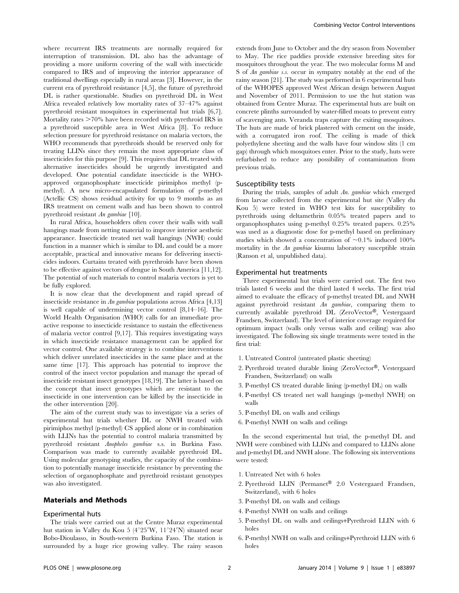where recurrent IRS treatments are normally required for interruption of transmission. DL also has the advantage of providing a more uniform covering of the wall with insecticide compared to IRS and of improving the interior appearance of traditional dwellings especially in rural areas [3]. However, in the current era of pyrethroid resistance [4,5], the future of pyrethroid DL is rather questionable. Studies on pyrethroid DL in West Africa revealed relatively low mortality rates of 37–47% against pyrethroid resistant mosquitoes in experimental hut trials [6,7]. Mortality rates >70% have been recorded with pyrethroid IRS in a pyrethroid susceptible area in West Africa [8]. To reduce selection pressure for pyrethroid resistance on malaria vectors, the WHO recommends that pyrethroids should be reserved only for treating LLINs since they remain the most appropriate class of insecticides for this purpose [9]. This requires that DL treated with alternative insecticides should be urgently investigated and developed. One potential candidate insecticide is the WHOapproved organophosphate insecticide pirimiphos methyl (pmethyl). A new micro-encapsulated formulation of p-methyl (Actellic CS) shows residual activity for up to 9 months as an IRS treatment on cement walls and has been shown to control pyrethroid resistant An gambiae [10].

In rural Africa, householders often cover their walls with wall hangings made from netting material to improve interior aesthetic appearance. Insecticide treated net wall hangings (NWH) could function in a manner which is similar to DL and could be a more acceptable, practical and innovative means for delivering insecticides indoors. Curtains treated with pyrethroids have been shown to be effective against vectors of dengue in South America [11,12]. The potential of such materials to control malaria vectors is yet to be fully explored.

It is now clear that the development and rapid spread of insecticide resistance in An gambiae populations across Africa [4,13] is well capable of undermining vector control [8,14–16]. The World Health Organisation (WHO) calls for an immediate proactive response to insecticide resistance to sustain the effectiveness of malaria vector control [9,17]. This requires investigating ways in which insecticide resistance management can be applied for vector control. One available strategy is to combine interventions which deliver unrelated insecticides in the same place and at the same time [17]. This approach has potential to improve the control of the insect vector population and manage the spread of insecticide resistant insect genotypes [18,19]. The latter is based on the concept that insect genotypes which are resistant to the insecticide in one intervention can be killed by the insecticide in the other intervention [20].

The aim of the current study was to investigate via a series of experimental hut trials whether DL or NWH treated with pirimiphos methyl (p-methyl) CS applied alone or in combination with LLINs has the potential to control malaria transmitted by pyrethroid resistant Anopheles gambiae s.s. in Burkina Faso. Comparison was made to currently available pyrethroid DL. Using molecular genotyping studies, the capacity of the combination to potentially manage insecticide resistance by preventing the selection of organophosphate and pyrethroid resistant genotypes was also investigated.

# Materials and Methods

# Experimental huts

The trials were carried out at the Centre Muraz experimental hut station in Valley du Kou 5 (4°25′W, 11°24′N) situated near Bobo-Dioulasso, in South-western Burkina Faso. The station is surrounded by a huge rice growing valley. The rainy season extends from June to October and the dry season from November to May. The rice paddies provide extensive breeding sites for mosquitoes throughout the year. The two molecular forms M and S of An gambiae s.s. occur in sympatry notably at the end of the rainy season [21]. The study was performed in 6 experimental huts of the WHOPES approved West African design between August and November of 2011. Permission to use the hut station was obtained from Centre Muraz. The experimental huts are built on concrete plinths surrounded by water-filled moats to prevent entry of scavenging ants. Veranda traps capture the exiting mosquitoes. The huts are made of brick plastered with cement on the inside, with a corrugated iron roof. The ceiling is made of thick polyethylene sheeting and the walls have four window slits (1 cm gap) through which mosquitoes enter. Prior to the study, huts were refurbished to reduce any possibility of contamination from previous trials.

# Susceptibility tests

During the trials, samples of adult An. gambiae which emerged from larvae collected from the experimental hut site (Valley du Kou 5) were tested in WHO test kits for susceptibility to pyrethroids using deltamethrin 0.05% treated papers and to organophosphates using p-methyl 0.25% treated papers. 0.25% was used as a diagnostic dose for p-methyl based on preliminary studies which showed a concentration of  $\sim 0.1\%$  induced 100% mortality in the An gambiae kisumu laboratory susceptible strain (Ranson et al, unpublished data).

#### Experimental hut treatments

Three experimental hut trials were carried out. The first two trials lasted 6 weeks and the third lasted 4 weeks. The first trial aimed to evaluate the efficacy of p-methyl treated DL and NWH against pyrethroid resistant An gambiae, comparing them to currently available pyrethroid DL (ZeroVector®, Vestergaard Frandsen, Switzerland). The level of interior coverage required for optimum impact (walls only versus walls and ceiling) was also investigated. The following six single treatments were tested in the first trial:

- 1. Untreated Control (untreated plastic sheeting)
- 2. Pyrethroid treated durable lining (ZeroVector®, Vestergaard Frandsen, Switzerland) on walls
- 3. P-methyl CS treated durable lining (p-methyl DL) on walls
- 4. P-methyl CS treated net wall hangings (p-methyl NWH) on walls
- 5. P-methyl DL on walls and ceilings
- 6. P-methyl NWH on walls and ceilings

In the second experimental hut trial, the p-methyl DL and NWH were combined with LLINs and compared to LLINs alone and p-methyl DL and NWH alone. The following six interventions were tested:

- 1. Untreated Net with 6 holes
- 2. Pyrethroid LLIN (Permanet<sup>®</sup> 2.0 Vestergaard Frandsen, Switzerland), with 6 holes
- 3. P-methyl DL on walls and ceilings
- 4. P-methyl NWH on walls and ceilings
- 5. P-methyl DL on walls and ceilings+Pyrethroid LLIN with 6 holes
- 6. P-methyl NWH on walls and ceilings+Pyrethroid LLIN with 6 holes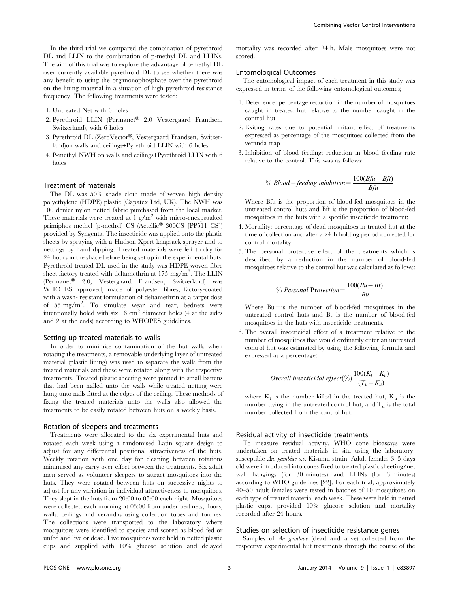In the third trial we compared the combination of pyrethroid DL and LLIN to the combination of p-methyl DL and LLINs. The aim of this trial was to explore the advantage of p-methyl DL over currently available pyrethroid DL to see whether there was any benefit to using the organonophosphate over the pyrethroid on the lining material in a situation of high pyrethroid resistance frequency. The following treatments were tested:

- 1. Untreated Net with 6 holes
- 2. Pyrethroid LLIN (Permanet® 2.0 Vestergaard Frandsen, Switzerland), with 6 holes
- 3. Pyrethroid DL (ZeroVector®, Vestergaard Frandsen, Switzerland)on walls and ceilings+Pyrethroid LLIN with 6 holes
- 4. P-methyl NWH on walls and ceilings+Pyrethroid LLIN with 6 holes

#### Treatment of materials

The DL was 50% shade cloth made of woven high density polyethylene (HDPE) plastic (Capatex Ltd, UK). The NWH was 100 denier nylon netted fabric purchased from the local market. These materials were treated at  $1 \text{ g/m}^2$  with micro-encapsualted primiphos methyl (p-methyl) CS (Actellic® 300CS [PP511 CS]) provided by Syngenta. The insecticide was applied onto the plastic sheets by spraying with a Hudson Xpert knapsack sprayer and to nettings by hand dipping. Treated materials were left to dry for 24 hours in the shade before being set up in the experimental huts. Pyrethroid treated DL used in the study was HDPE woven fibre sheet factory treated with deltamethrin at 175 mg/m<sup>2</sup>. The LLIN (Permanet® 2.0, Vestergaard Frandsen, Switzerland) was WHOPES approved, made of polyester fibres, factory-coated with a wash- resistant formulation of deltamethrin at a target dose of  $55 \text{ mg/m}^2$ . To simulate wear and tear, bednets were intentionally holed with six  $16 \text{ cm}^2$  diameter holes (4 at the sides and 2 at the ends) according to WHOPES guidelines.

#### Setting up treated materials to walls

In order to minimise contamination of the hut walls when rotating the treatments, a removable underlying layer of untreated material (plastic lining) was used to separate the walls from the treated materials and these were rotated along with the respective treatments. Treated plastic sheeting were pinned to small battens that had been nailed unto the walls while treated netting were hung unto nails fitted at the edges of the ceiling. These methods of fixing the treated materials unto the walls also allowed the treatments to be easily rotated between huts on a weekly basis.

#### Rotation of sleepers and treatments

Treatments were allocated to the six experimental huts and rotated each week using a randomised Latin square design to adjust for any differential positional attractiveness of the huts. Weekly rotation with one day for cleaning between rotations minimised any carry over effect between the treatments. Six adult men served as volunteer sleepers to attract mosquitoes into the huts. They were rotated between huts on successive nights to adjust for any variation in individual attractiveness to mosquitoes. They slept in the huts from 20:00 to 05:00 each night. Mosquitoes were collected each morning at 05:00 from under bed nets, floors, walls, ceilings and verandas using collection tubes and torches. The collections were transported to the laboratory where mosquitoes were identified to species and scored as blood fed or unfed and live or dead. Live mosquitoes were held in netted plastic cups and supplied with 10% glucose solution and delayed mortality was recorded after 24 h. Male mosquitoes were not scored.

# Entomological Outcomes

The entomological impact of each treatment in this study was expressed in terms of the following entomological outcomes;

- 1. Deterrence: percentage reduction in the number of mosquitoes caught in treated hut relative to the number caught in the control hut
- 2. Exiting rates due to potential irritant effect of treatments expressed as percentage of the mosquitoes collected from the veranda trap
- 3. Inhibition of blood feeding: reduction in blood feeding rate relative to the control. This was as follows:

<sup>9</sup>6 *Blood – feeding inhibition* = 
$$
\frac{100(Bfu - Bft)}{Bfu}
$$

Where Bfu is the proportion of blood-fed mosquitoes in the untreated control huts and Bft is the proportion of blood-fed mosquitoes in the huts with a specific insecticide treatment;

- 4. Mortality: percentage of dead mosquitoes in treated hut at the time of collection and after a 24 h holding period corrected for control mortality.
- 5. The personal protective effect of the treatments which is described by a reduction in the number of blood-fed mosquitoes relative to the control hut was calculated as follows:

% Personal Protection = 
$$
\frac{100(Bu - Bt)}{Bu}
$$

Where  $Bu = is$  the number of blood-fed mosquitoes in the untreated control huts and Bt is the number of blood-fed mosquitoes in the huts with insecticide treatments.

6. The overall insecticidal effect of a treatment relative to the number of mosquitoes that would ordinarily enter an untreated control hut was estimated by using the following formula and expressed as a percentage:

Overall insecticidal effect 
$$
(\%) \frac{100(K_t - K_u)}{(T_u - K_u)}
$$

where  $K_t$  is the number killed in the treated hut,  $K_u$  is the number dying in the untreated control hut, and  $T_u$  is the total number collected from the control hut.

#### Residual activity of insecticide treatments

To measure residual activity, WHO cone bioassays were undertaken on treated materials in situ using the laboratorysusceptible An. gambiae s.s. Kisumu strain. Adult females 3–5 days old were introduced into cones fixed to treated plastic sheeting/net wall hangings (for 30 minutes) and LLINs (for 3 minutes) according to WHO guidelines [22]. For each trial, approximately 40–50 adult females were tested in batches of 10 mosquitoes on each type of treated material each week. These were held in netted plastic cups, provided 10% glucose solution and mortality recorded after 24 hours.

#### Studies on selection of insecticide resistance genes

Samples of An gambiae (dead and alive) collected from the respective experimental hut treatments through the course of the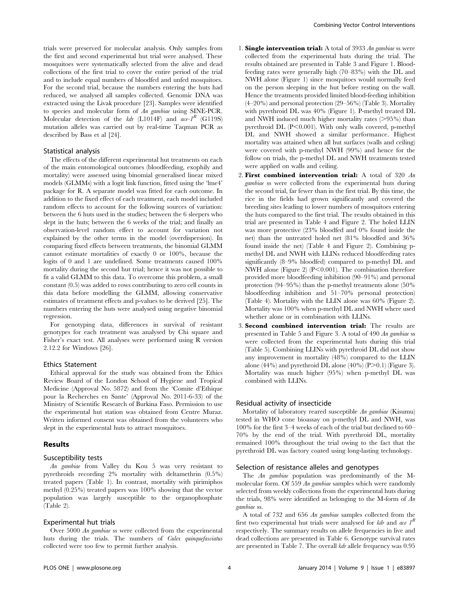trials were preserved for molecular analysis. Only samples from the first and second experimental hut trial were analysed. These mosquitoes were systematically selected from the alive and dead collections of the first trial to cover the entire period of the trial and to include equal numbers of bloodfed and unfed mosquitoes. For the second trial, because the numbers entering the huts had reduced, we analysed all samples collected. Genomic DNA was extracted using the Livak procedure [23]. Samples were identified to species and molecular form of An gambiae using SINE-PCR. Molecular detection of the kdr (L1014F) and  $ace-I^R$  (G119S) mutation alleles was carried out by real-time Taqman PCR as described by Bass et al [24].

#### Statistical analysis

The effects of the different experimental hut treatments on each of the main entomological outcomes (bloodfeeding, exophily and mortality) were assessed using binomial generalised linear mixed models (GLMMs) with a logit link function, fitted using the 'lme4' package for R. A separate model was fitted for each outcome. In addition to the fixed effect of each treatment, each model included random effects to account for the following sources of variation: between the 6 huts used in the studies; between the 6 sleepers who slept in the huts; between the 6 weeks of the trial; and finally an observation-level random effect to account for variation not explained by the other terms in the model (overdispersion). In comparing fixed effects between treatments, the binomial GLMM cannot estimate mortalities of exactly 0 or 100%, because the logits of 0 and 1 are undefined. Some treatments caused 100% mortality during the second hut trial; hence it was not possible to fit a valid GLMM to this data. To overcome this problem, a small constant (0.5) was added to rows contributing to zero cell counts in this data before modelling the GLMM, allowing conservative estimates of treatment effects and p-values to be derived [25]. The numbers entering the huts were analysed using negative binomial regression.

For genotyping data, differences in survival of resistant genotypes for each treatment was analysed by Chi square and Fisher's exact test. All analyses were performed using R version 2.12.2 for Windows [26].

#### Ethics Statement

Ethical approval for the study was obtained from the Ethics Review Board of the London School of Hygiene and Tropical Medicine (Approval No. 5872) and from the 'Comite d'Ethique pour la Recherches en Sante' (Approval No. 2011-6-33) of the Ministry of Scientific Research of Burkina Faso. Permission to use the experimental hut station was obtained from Centre Muraz. Written informed consent was obtained from the volunteers who slept in the experimental huts to attract mosquitoes.

# Results

#### Susceptibility tests

An gambiae from Valley du Kou 5 was very resistant to pyrethroids recording 2% mortality with deltamethrin (0.5%) treated papers (Table 1). In contrast, mortality with pirimiphos methyl (0.25%) treated papers was 100% showing that the vector population was largely susceptible to the organophosphate (Table 2).

#### Experimental hut trials

Over 5000 An gambiae ss were collected from the experimental huts during the trials. The numbers of Culex quinquefasciatus collected were too few to permit further analysis.

- 1. Single intervention trial: A total of 3933 An gambiae ss were collected from the experimental huts during the trial. The results obtained are presented in Table 3 and Figure 1. Bloodfeeding rates were generally high (70–83%) with the DL and NWH alone (Figure 1) since mosquitoes would normally feed on the person sleeping in the hut before resting on the wall. Hence the treatments provided limited blood-feeding inhibition (4–20%) and personal protection (29–56%) (Table 3). Mortality with pyrethroid DL was 40% (Figure 1). P-methyl treated DL and NWH induced much higher mortality rates  $(>\!95\%)$  than pyrethroid DL  $(P<0.001)$ . With only walls covered, p-methyl DL and NWH showed a similar performance. Highest mortality was attained when all hut surfaces (walls and ceiling) were covered with p-methyl NWH (99%) and hence for the follow on trials, the p-methyl DL and NWH treatments tested were applied on walls and ceiling.
- 2. First combined intervention trial: A total of  $320$   $An$ gambiae ss were collected from the experimental huts during the second trial, far fewer than in the first trial. By this time, the rice in the fields had grown significantly and covered the breeding sites leading to lower numbers of mosquitoes entering the huts compared to the first trial. The results obtained in this trial are presented in Table 4 and Figure 2. The holed LLIN was more protective (23% bloodfed and 0% found inside the net) than the untreated holed net (81% bloodfed and 36% found inside the net) (Table 4 and Figure 2). Combining pmethyl DL and NWH with LLINs reduced bloodfeeding rates significantly (8–9% bloodfed) compared to p-methyl DL and NWH alone (Figure 2) ( $P<0.001$ ). The combination therefore provided more bloodfeeding inhibition (90–91%) and personal protection (94–95%) than the p-methyl treatments alone (50% bloodfeeding inhibition and 51–70% personal protection) (Table 4). Mortality with the LLIN alone was 60% (Figure 2). Mortality was 100% when p-methyl DL and NWH where used whether alone or in combination with LLINs.
- 3. Second combined intervention trial: The results are presented in Table 5 and Figure 3. A total of 490 An gambiae ss were collected from the experimental huts during this trial (Table 5). Combining LLINs with pyrethroid DL did not show any improvement in mortality (48%) compared to the LLIN alone (44%) and pyrethroid DL alone (40%) ( $P > 0.1$ ) (Figure 3). Mortality was much higher (95%) when p-methyl DL was combined with LLINs.

#### Residual activity of insecticide

Mortality of laboratory reared susceptible An gambiae (Kisumu) tested in WHO cone bioassay on p-methyl DL and NWH, was 100% for the first 3–4 weeks of each of the trial but declined to 60– 70% by the end of the trial. With pyrethroid DL, mortality remained 100% throughout the trial owing to the fact that the pyrethroid DL was factory coated using long-lasting technology.

#### Selection of resistance alleles and genotypes

The An gambiae population was predominantly of the Mmolecular form. Of 559 An gambiae samples which were randomly selected from weekly collections from the experimental huts during the trials, 98% were identified as belonging to the M-form of An gambiae ss.

A total of 732 and 656 An gambiae samples collected from the first two experimental hut trials were analysed for  $kdr$  and ace  $I<sup>R</sup>$ respectively. The summary results on allele frequencies in live and dead collections are presented in Table 6. Genotype survival rates are presented in Table 7. The overall kdr allele frequency was 0.95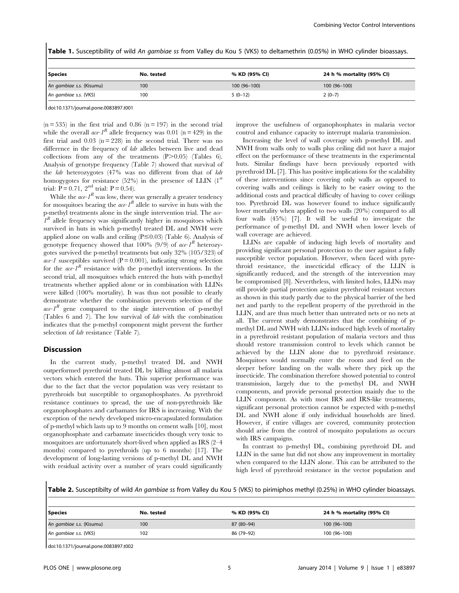|  |  | <b>Table 1.</b> Susceptibility of wild An gambiae ss from Valley du Kou 5 (VK5) to deltamethrin (0.05%) in WHO cylinder bioassays. |  |
|--|--|------------------------------------------------------------------------------------------------------------------------------------|--|
|  |  |                                                                                                                                    |  |

| No. tested | % KD (95% CI) | 24 h % mortality (95% CI) |
|------------|---------------|---------------------------|
| 100        | $100(96-100)$ | $100(96-100)$             |
| 100        | $5(0-12)$     | $2(0-7)$                  |
|            |               |                           |

doi:10.1371/journal.pone.0083897.t001

 $(n = 535)$  in the first trial and 0.86  $(n = 197)$  in the second trial while the overall *ace-1<sup>R</sup>* allele frequency was 0.01 (n = 429) in the first trial and  $0.03$  (n = 228) in the second trial. There was no difference in the frequency of kdr alleles between live and dead collections from any of the treatments  $(P>0.05)$  (Tables 6). Analysis of genotype frequency (Table 7) showed that survival of the kdr heterozygotes (47% was no different from that of kdr homogygotes for resistance (52%) in the presence of LLIN (1st trial:  $P = 0.71$ ,  $2<sup>nd</sup>$  trial:  $P = 0.54$ ).

While the *ace-1<sup>R</sup>* was low, there was generally a greater tendency for mosquitoes bearing the  $ace-I^R$  allele to survive in huts with the p-methyl treatments alone in the single intervention trial. The ace- $I<sup>R</sup>$  allele frequency was significantly higher in mosquitoes which survived in huts in which p-methyl treated DL and NWH were applied alone on walls and ceiling  $(P \le 0.03)$  (Table 6). Analysis of genotype frequency showed that 100% (9/9) of  $ace-I^R$  heterozygotes survived the p-methyl treatments but only 32% (105/323) of ace-1 susceptibles survived  $(P = 0.001)$ , indicating strong selection for the  $ace-I^R$  resistance with the p-methyl interventions. In the second trial, all mosquitoes which entered the huts with p-methyl treatments whether applied alone or in combination with LLINs were killed (100% mortality). It was thus not possible to clearly demonstrate whether the combination prevents selection of the  $ace-I<sup>R</sup>$  gene compared to the single intervention of p-methyl (Tables 6 and 7). The low survival of kdr with the combination indicates that the p-methyl component might prevent the further selection of kdr resistance (Table 7).

#### **Discussion**

In the current study, p-methyl treated DL and NWH outperformed pyrethroid treated DL by killing almost all malaria vectors which entered the huts. This superior performance was due to the fact that the vector population was very resistant to pyrethroids but susceptible to organophosphates. As pyrethroid resistance continues to spread, the use of non-pyrethroids like organophosphates and carbamates for IRS is increasing. With the exception of the newly developed micro-encapsulated formulation of p-methyl which lasts up to 9 months on cement walls [10], most organophosphate and carbamate insecticides though very toxic to mosquitoes are unfortunately short-lived when applied as IRS (2–4 months) compared to pyrethroids (up to 6 months) [17]. The development of long-lasting versions of p-methyl DL and NWH with residual activity over a number of years could significantly

improve the usefulness of organophosphates in malaria vector control and enhance capacity to interrupt malaria transmission.

Increasing the level of wall coverage with p-methyl DL and NWH from walls only to walls plus ceiling did not have a major effect on the performance of these treatments in the experimental huts. Similar findings have been previously reported with pyrethroid DL [7]. This has positive implications for the scalability of these interventions since covering only walls as opposed to covering walls and ceilings is likely to be easier owing to the additional costs and practical difficulty of having to cover ceilings too. Pyrethroid DL was however found to induce significantly lower mortality when applied to two walls (20%) compared to all four walls (45%) [7]. It will be useful to investigate the performance of p-methyl DL and NWH when lower levels of wall coverage are achieved.

LLINs are capable of inducing high levels of mortality and providing significant personal protection to the user against a fully susceptible vector population. However, when faced with pyrethroid resistance, the insecticidal efficacy of the LLIN is significantly reduced, and the strength of the intervention may be compromised [8]. Nevertheless, with limited holes, LLINs may still provide partial protection against pyrethroid resistant vectors as shown in this study partly due to the physical barrier of the bed net and partly to the repellent property of the pyrethroid in the LLIN, and are thus much better than untreated nets or no nets at all. The current study demonstrates that the combining of pmethyl DL and NWH with LLINs induced high levels of mortality in a pyrethroid resistant population of malaria vectors and thus should restore transmission control to levels which cannot be achieved by the LLIN alone due to pyrethroid resistance. Mosquitoes would normally enter the room and feed on the sleeper before landing on the walls where they pick up the insecticide. The combination therefore showed potential to control transmission, largely due to the p-methyl DL and NWH components, and provide personal protection mainly due to the LLIN component. As with most IRS and IRS-like treatments, significant personal protection cannot be expected with p-methyl DL and NWH alone if only individual households are lined. However, if entire villages are covered, community protection should arise from the control of mosquito populations as occurs with IRS campaigns.

In contrast to p-methyl DL, combining pyrethroid DL and LLIN in the same hut did not show any improvement in mortality when compared to the LLIN alone. This can be attributed to the high level of pyrethroid resistance in the vector population and

Table 2. Susceptibilty of wild An gambiae ss from Valley du Kou 5 (VK5) to pirimiphos methyl (0.25%) in WHO cylinder bioassays.

| Species                  | No. tested | % KD (95% CI) | 24 h % mortality (95% CI) |
|--------------------------|------------|---------------|---------------------------|
| An gambiae s.s. (Kisumu) | 100        | 87 (80-94)    | 100 (96-100)              |
| An gambiae s.s. (VK5)    | 102        | 86 (79–92)    | 100 (96-100)              |

doi:10.1371/journal.pone.0083897.t002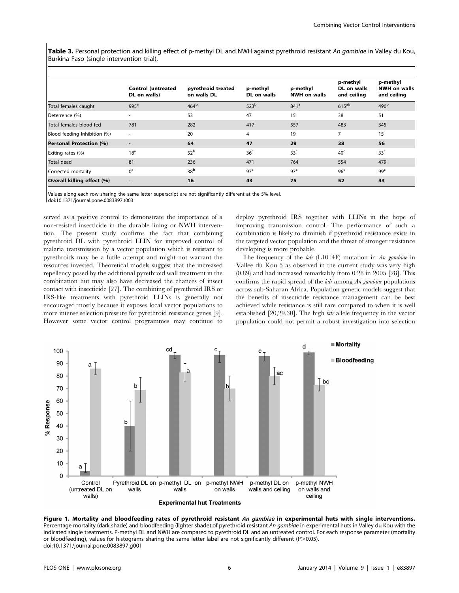Table 3. Personal protection and killing effect of p-methyl DL and NWH against pyrethroid resistant An gambiae in Valley du Kou, Burkina Faso (single intervention trial).

|                                | <b>Control (untreated)</b><br>DL on walls) | pyrethroid treated<br>on walls DL | p-methyl<br>DL on walls | p-methyl<br><b>NWH on walls</b> | p-methyl<br>DL on walls<br>and ceiling | p-methyl<br><b>NWH on walls</b><br>and ceiling |
|--------------------------------|--------------------------------------------|-----------------------------------|-------------------------|---------------------------------|----------------------------------------|------------------------------------------------|
| Total females caught           | 995 <sup>a</sup>                           | 464 <sup>b</sup>                  | 523 <sup>b</sup>        | 841 <sup>a</sup>                | $615^{ab}$                             | 490 <sup>b</sup>                               |
| Deterrence (%)                 | ۰                                          | 53                                | 47                      | 15                              | 38                                     | 51                                             |
| Total females blood fed        | 781                                        | 282                               | 417                     | 557                             | 483                                    | 345                                            |
| Blood feeding Inhibition (%)   | ۰                                          | 20                                | 4                       | 19                              | 7                                      | 15                                             |
| <b>Personal Protection (%)</b> | $\overline{\phantom{0}}$                   | 64                                | 47                      | 29                              | 38                                     | 56                                             |
| Exiting rates (%)              | 18 <sup>a</sup>                            | 52 <sup>b</sup>                   | 36 <sup>c</sup>         | 33 <sup>c</sup>                 | 40 <sup>c</sup>                        | 33 <sup>c</sup>                                |
| <b>Total dead</b>              | 81                                         | 236                               | 471                     | 764                             | 554                                    | 479                                            |
| Corrected mortality            | $0^{\rm a}$                                | 38 <sup>b</sup>                   | 97 <sup>c</sup>         | 97 <sup>c</sup>                 | 96 <sup>c</sup>                        | 99 <sup>c</sup>                                |
| Overall killing effect (%)     | $\overline{\phantom{0}}$                   | 16                                | 43                      | 75                              | 52                                     | 43                                             |

Values along each row sharing the same letter superscript are not significantly different at the 5% level. doi:10.1371/journal.pone.0083897.t003

served as a positive control to demonstrate the importance of a non-resisted insecticide in the durable lining or NWH intervention. The present study confirms the fact that combining pyrethroid DL with pyrethroid LLIN for improved control of malaria transmission by a vector population which is resistant to pyrethroids may be a futile attempt and might not warrant the resources invested. Theoretical models suggest that the increased repellency posed by the additional pyrethroid wall treatment in the combination hut may also have decreased the chances of insect contact with insecticide [27]. The combining of pyrethroid IRS or IRS-like treatments with pyrethroid LLINs is generally not encouraged mostly because it exposes local vector populations to more intense selection pressure for pyrethroid resistance genes [9]. However some vector control programmes may continue to deploy pyrethroid IRS together with LLINs in the hope of improving transmission control. The performance of such a combination is likely to diminish if pyrethroid resistance exists in the targeted vector population and the threat of stronger resistance developing is more probable.

The frequency of the kdr (L1014F) mutation in An gambiae in Vallee du Kou 5 as observed in the current study was very high (0.89) and had increased remarkably from 0.28 in 2005 [28]. This confirms the rapid spread of the  $kdr$  among An gambiae populations across sub-Saharan Africa. Population genetic models suggest that the benefits of insecticide resistance management can be best achieved while resistance is still rare compared to when it is well established [20,29,30]. The high kdr allele frequency in the vector population could not permit a robust investigation into selection



Figure 1. Mortality and bloodfeeding rates of pyrethroid resistant An gambiae in experimental huts with single interventions. Percentage mortality (dark shade) and bloodfeeding (lighter shade) of pyrethroid resistant An gambiae in experimental huts in Valley du Kou with the indicated single treatments. P-methyl DL and NWH are compared to pyrethroid DL and an untreated control. For each response parameter (mortality or bloodfeeding), values for histograms sharing the same letter label are not significantly different (P>0.05). doi:10.1371/journal.pone.0083897.g001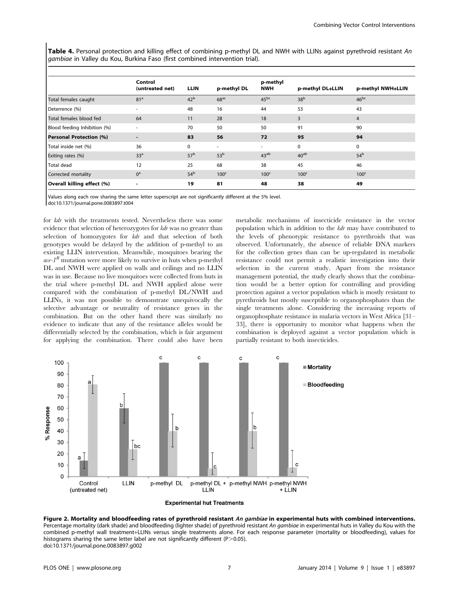Table 4. Personal protection and killing effect of combining p-methyl DL and NWH with LLINs against pyrethroid resistant An gambiae in Valley du Kou, Burkina Faso (first combined intervention trial).

|                                | Control<br>(untreated net) | LLIN            | p-methyl DL              | p-methyl<br><b>NWH</b> | p-methyl DL+LLIN | p-methyl NWH+LLIN |
|--------------------------------|----------------------------|-----------------|--------------------------|------------------------|------------------|-------------------|
| Total females caught           | 81 <sup>a</sup>            | 42 <sup>b</sup> | 68 <sup>ac</sup>         | $45^{bc}$              | 38 <sup>b</sup>  | $46^{bc}$         |
| Deterrence (%)                 | ٠                          | 48              | 16                       | 44                     | 53               | 43                |
| Total females blood fed        | 64                         | 11              | 28                       | 18                     | 3                | 4                 |
| Blood feeding Inhibition (%)   | $\blacksquare$             | 70              | 50                       | 50                     | 91               | 90                |
| <b>Personal Protection (%)</b> | $\overline{\phantom{a}}$   | 83              | 56                       | 72                     | 95               | 94                |
| Total inside net (%)           | 36                         | $\Omega$        | $\overline{\phantom{a}}$ | ٠                      | $\Omega$         | $\Omega$          |
| Exiting rates (%)              | 33 <sup>a</sup>            | 57 <sup>b</sup> | 53 <sup>b</sup>          | 43 <sup>ab</sup>       | 40 <sup>ab</sup> | 54 <sup>b</sup>   |
| Total dead                     | 12                         | 25              | 68                       | 38                     | 45               | 46                |
| Corrected mortality            | $0^a$                      | 54 <sup>b</sup> | 100 <sup>c</sup>         | 100 <sup>c</sup>       | 100 <sup>c</sup> | 100 <sup>c</sup>  |
| Overall killing effect (%)     | $\overline{\phantom{a}}$   | 19              | 81                       | 48                     | 38               | 49                |

Values along each row sharing the same letter superscript are not significantly different at the 5% level. doi:10.1371/journal.pone.0083897.t004

for kdr with the treatments tested. Nevertheless there was some evidence that selection of heterozygotes for kdr was no greater than selection of homozygotes for kdr and that selection of both genotypes would be delayed by the addition of p-methyl to an existing LLIN intervention. Meanwhile, mosquitoes bearing the  $ace-I<sup>R</sup>$  mutation were more likely to survive in huts when p-methyl DL and NWH were applied on walls and ceilings and no LLIN was in use. Because no live mosquitoes were collected from huts in the trial where p-methyl DL and NWH applied alone were compared with the combination of p-methyl DL/NWH and LLINs, it was not possible to demonstrate unequivocally the selective advantage or neutrality of resistance genes in the combination. But on the other hand there was similarly no evidence to indicate that any of the resistance alleles would be differentially selected by the combination, which is fair argument for applying the combination. There could also have been metabolic mechanisms of insecticide resistance in the vector population which in addition to the kdr may have contributed to the levels of phenotypic resistance to pyrethroids that was observed. Unfortunately, the absence of reliable DNA markers for the collection genes than can be up-regulated in metabolic resistance could not permit a realistic investigation into their selection in the current study. Apart from the resistance management potential, the study clearly shows that the combination would be a better option for controlling and providing protection against a vector population which is mostly resistant to pyrethroids but mostly susceptible to organophosphates than the single treatments alone. Considering the increasing reports of organophosphate resistance in malaria vectors in West Africa [31– 33], there is opportunity to monitor what happens when the combination is deployed against a vector population which is partially resistant to both insecticides.



Figure 2. Mortality and bloodfeeding rates of pyrethroid resistant An gambiae in experimental huts with combined interventions. Percentage mortality (dark shade) and bloodfeeding (lighter shade) of pyrethroid resistant An gambiae in experimental huts in Valley du Kou with the combined p-methyl wall treatment+LLINs versus single treatments alone. For each response parameter (mortality or bloodfeeding), values for histograms sharing the same letter label are not significantly different (P $>$ 0.05). doi:10.1371/journal.pone.0083897.g002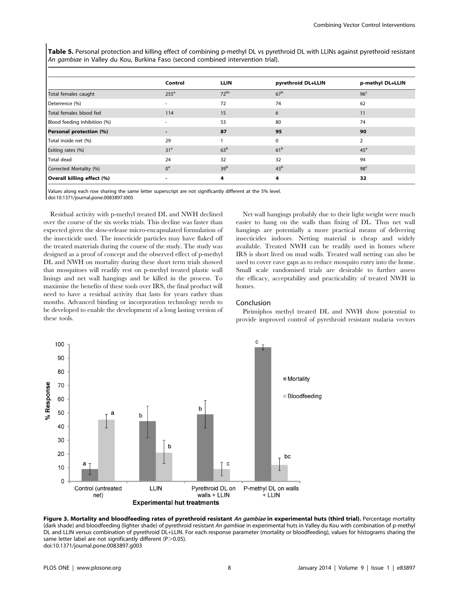Table 5. Personal protection and killing effect of combining p-methyl DL vs pyrethroid DL with LLINs against pyrethroid resistant An gambiae in Valley du Kou, Burkina Faso (second combined intervention trial).

|                              | Control                  | <b>LLIN</b>     | pyrethroid DL+LLIN | p-methyl DL+LLIN |
|------------------------------|--------------------------|-----------------|--------------------|------------------|
| Total females caught         | 255 <sup>a</sup>         | $72^{bc}$       | 67 <sup>b</sup>    | 96 <sup>c</sup>  |
| Deterrence (%)               | $\overline{\phantom{a}}$ | 72              | 74                 | 62               |
| Total females blood fed      | 114                      | 15              | 6                  | 11               |
| Blood feeding Inhibition (%) | ٠                        | 53              | 80                 | 74               |
| Personal protection (%)      | $\overline{\phantom{a}}$ | 87              | 95                 | 90               |
| Total inside net (%)         | 29                       |                 | 0                  | $\overline{2}$   |
| Exiting rates (%)            | 31 <sup>a</sup>          | 63 <sup>b</sup> | 61 <sup>b</sup>    | 45 <sup>a</sup>  |
| Total dead                   | 24                       | 32              | 32                 | 94               |
| Corrected Mortality (%)      | $0^{\rm a}$              | 39 <sup>b</sup> | 43 <sup>b</sup>    | 98 <sup>c</sup>  |
| Overall killing effect (%)   | ٠                        | 4               | 4                  | 32               |

Values along each row sharing the same letter superscript are not significantly different at the 5% level. doi:10.1371/journal.pone.0083897.t005

Residual activity with p-methyl treated DL and NWH declined over the course of the six weeks trials. This decline was faster than expected given the slow-release micro-encapsulated formulation of the insecticide used. The insecticide particles may have flaked off the treated materials during the course of the study. The study was designed as a proof of concept and the observed effect of p-methyl DL and NWH on mortality during these short term trials showed that mosquitoes will readily rest on p-methyl treated plastic wall linings and net wall hangings and be killed in the process. To maximise the benefits of these tools over IRS, the final product will need to have a residual activity that lasts for years rather than months. Advanced binding or incorporation technology needs to be developed to enable the development of a long lasting version of these tools.

Net wall hangings probably due to their light weight were much easier to hang on the walls than fixing of DL. Thus net wall hangings are potentially a more practical means of delivering insecticides indoors. Netting material is cheap and widely available. Treated NWH can be readily used in homes where IRS is short lived on mud walls. Treated wall netting can also be used to cover eave gaps as to reduce mosquito entry into the home. Small scale randomised trials are desirable to further assess the efficacy, acceptability and practicability of treated NWH in homes.

#### Conclusion

Pirimiphos methyl treated DL and NWH show potential to provide improved control of pyrethroid resistant malaria vectors



Figure 3. Mortality and bloodfeeding rates of pyrethroid resistant An gambiae in experimental huts (third trial). Percentage mortality (dark shade) and bloodfeeding (lighter shade) of pyrethroid resistant An gambiae in experimental huts in Valley du Kou with combination of p-methyl DL and LLIN versus combination of pyrethroid DL+LLIN. For each response parameter (mortality or bloodfeeding), values for histograms sharing the same letter label are not significantly different (P $>$ 0.05). doi:10.1371/journal.pone.0083897.g003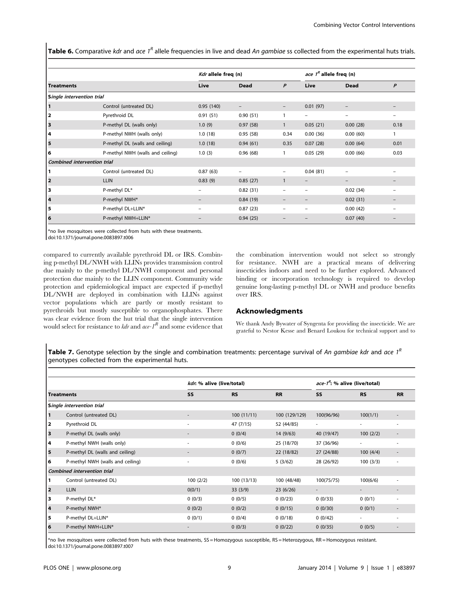Table 6. Comparative *kdr* and ace 1<sup>R</sup> allele frequencies in live and dead An gambiae ss collected from the experimental huts trials.

|                                    |                                  | Kdr allele freq (n)      |                          |                          | ace $1^R$ allele freq (n)       |             |      |
|------------------------------------|----------------------------------|--------------------------|--------------------------|--------------------------|---------------------------------|-------------|------|
| <b>Treatments</b>                  |                                  | Live                     | <b>Dead</b>              | $\mathsf{P}$             | Live                            | <b>Dead</b> | P    |
| Single intervention trial          |                                  |                          |                          |                          |                                 |             |      |
| 1                                  | Control (untreated DL)           | 0.95(140)                | $\qquad \qquad -$        | $\qquad \qquad -$        | 0.01(97)                        |             |      |
| 2                                  | Pyrethroid DL                    | 0.91(51)                 | 0.90(51)                 |                          |                                 |             |      |
| 3                                  | P-methyl DL (walls only)         | 1.0(9)                   | 0.97(58)                 | 1                        | 0.05(21)                        | 0.00(28)    | 0.18 |
| 14                                 | P-methyl NWH (walls only)        | 1.0(18)                  | 0.95(58)                 | 0.34                     | 0.00(36)                        | 0.00(60)    |      |
| 5                                  | P-methyl DL (walls and ceiling)  | 1.0(18)                  | 0.94(61)                 | 0.35                     | 0.07(28)                        | 0.00(64)    | 0.01 |
| 6                                  | P-methyl NWH (walls and ceiling) | 1.0(3)                   | 0.96(68)                 |                          | 0.05(29)                        | 0.00(66)    | 0.03 |
| <b>Combined intervention trial</b> |                                  |                          |                          |                          |                                 |             |      |
| 1                                  | Control (untreated DL)           | 0.87(63)                 | $\overline{\phantom{0}}$ | $\overline{\phantom{0}}$ | 0.04(81)                        |             |      |
| 2                                  | <b>LLIN</b>                      | 0.83(9)                  | 0.85(27)                 | 1                        |                                 |             |      |
| з                                  | P-methyl DL*                     |                          | 0.82(31)                 |                          |                                 | 0.02(34)    |      |
| 4                                  | P-methyl NWH*                    | $\overline{\phantom{0}}$ | 0.84(19)                 | $\qquad \qquad -$        | $\hspace{0.1mm}-\hspace{0.1mm}$ | 0.02(31)    |      |
| 5                                  | P-methyl DL+LLIN*                |                          | 0.87(23)                 |                          |                                 | 0.00(42)    |      |
| 6                                  | P-methyl NWH+LLIN*               |                          | 0.94(25)                 |                          |                                 | 0.07(40)    |      |

\*no live mosquitoes were collected from huts with these treatments.

doi:10.1371/journal.pone.0083897.t006

compared to currently available pyrethroid DL or IRS. Combining p-methyl DL/NWH with LLINs provides transmission control due mainly to the p-methyl DL/NWH component and personal protection due mainly to the LLIN component. Community wide protection and epidemiological impact are expected if p-methyl DL/NWH are deployed in combination with LLINs against vector populations which are partly or mostly resistant to pyrethroids but mostly susceptible to organophosphates. There was clear evidence from the hut trial that the single intervention would select for resistance to  $kdr$  and  $ace-I^R$  and some evidence that the combination intervention would not select so strongly for resistance. NWH are a practical means of delivering insecticides indoors and need to be further explored. Advanced binding or incorporation technology is required to develop genuine long-lasting p-methyl DL or NWH and produce benefits over IRS.

# Acknowledgments

We thank Andy Bywater of Syngenta for providing the insecticide. We are grateful to Nestor Kesse and Benard Loukou for technical support and to

Table 7. Genotype selection by the single and combination treatments: percentage survival of An gambiae kdr and ace  $1^R$ genotypes collected from the experimental huts.

|    |                                    | kdr. % alive (live/total) |            |               | ace-1 <sup>R</sup> : % alive (live/total) |           |           |
|----|------------------------------------|---------------------------|------------|---------------|-------------------------------------------|-----------|-----------|
|    | <b>Treatments</b>                  | <b>SS</b>                 | <b>RS</b>  | <b>RR</b>     | <b>SS</b>                                 | <b>RS</b> | <b>RR</b> |
|    | Single intervention trial          |                           |            |               |                                           |           |           |
| 1  | Control (untreated DL)             |                           | 100(11/11) | 100 (129/129) | 100(96/96)                                | 100(1/1)  |           |
| 12 | Pyrethroid DL                      | ٠                         | 47 (7/15)  | 52 (44/85)    | $\overline{\phantom{a}}$                  | ٠         | ٠         |
| з  | P-methyl DL (walls only)           |                           | 0(0/4)     | 14 (9/63)     | 40 (19/47)                                | 100(2/2)  |           |
| 4  | P-methyl NWH (walls only)          |                           | 0(0/6)     | 25 (18/70)    | 37 (36/96)                                |           |           |
| 5  | P-methyl DL (walls and ceiling)    |                           | 0(0/7)     | 22 (18/82)    | 27 (24/88)                                | 100(4/4)  |           |
| 6  | P-methyl NWH (walls and ceiling)   | ٠                         | 0(0/6)     | 5(3/62)       | 28 (26/92)                                | 100(3/3)  | ۰         |
|    | <b>Combined intervention trial</b> |                           |            |               |                                           |           |           |
| 1  | Control (untreated DL)             | 100(2/2)                  | 100(13/13) | 100 (48/48)   | 100(75/75)                                | 100(6/6)  |           |
| 2  | <b>LLIN</b>                        | 0(0/1)                    | 33(3/9)    | 23(6/26)      |                                           |           |           |
| 3  | P-methyl DL*                       | 0(0/3)                    | 0(0/5)     | 0(0/23)       | 0(0/33)                                   | 0(0/1)    |           |
| 4  | P-methyl NWH*                      | 0(0/2)                    | 0(0/2)     | 0(0/15)       | 0(0/30)                                   | 0(0/1)    |           |
| 5  | P-methyl DL+LLIN*                  | 0(0/1)                    | 0(0/4)     | 0(0/18)       | 0(0/42)                                   |           |           |
| 6  | P-methyl NWH+LLIN*                 |                           | 0(0/3)     | 0(0/22)       | 0(0/35)                                   | 0(0/5)    |           |

\*no live mosquitoes were collected from huts with these treatments, SS = Homozygous susceptible, RS = Heterozygous, RR = Homozygous resistant. doi:10.1371/journal.pone.0083897.t007